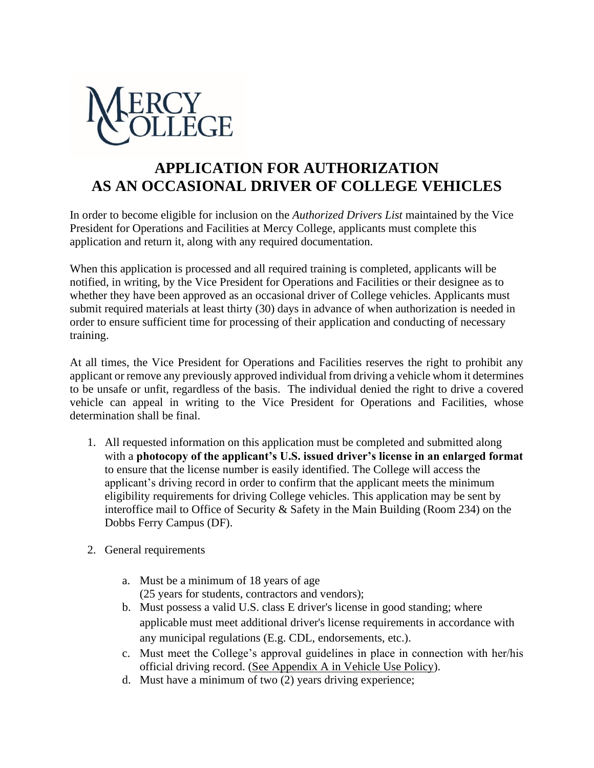

## **APPLICATION FOR AUTHORIZATION AS AN OCCASIONAL DRIVER OF COLLEGE VEHICLES**

In order to become eligible for inclusion on the *Authorized Drivers List* maintained by the Vice President for Operations and Facilities at Mercy College*,* applicants must complete this application and return it, along with any required documentation.

When this application is processed and all required training is completed, applicants will be notified, in writing, by the Vice President for Operations and Facilities or their designee as to whether they have been approved as an occasional driver of College vehicles. Applicants must submit required materials at least thirty (30) days in advance of when authorization is needed in order to ensure sufficient time for processing of their application and conducting of necessary training.

At all times, the Vice President for Operations and Facilities reserves the right to prohibit any applicant or remove any previously approved individual from driving a vehicle whom it determines to be unsafe or unfit, regardless of the basis. The individual denied the right to drive a covered vehicle can appeal in writing to the Vice President for Operations and Facilities, whose determination shall be final.

- 1. All requested information on this application must be completed and submitted along with a **photocopy of the applicant's U.S. issued driver's license in an enlarged format** to ensure that the license number is easily identified. The College will access the applicant's driving record in order to confirm that the applicant meets the minimum eligibility requirements for driving College vehicles. This application may be sent by interoffice mail to Office of Security & Safety in the Main Building (Room 234) on the Dobbs Ferry Campus (DF).
- 2. General requirements
	- a. Must be a minimum of 18 years of age (25 years for students, contractors and vendors);
	- b. Must possess a valid U.S. class E driver's license in good standing; where applicable must meet additional driver's license requirements in accordance with any municipal regulations (E.g. CDL, endorsements, etc.).
	- c. Must meet the College's approval guidelines in place in connection with her/his official driving record. (See Appendix A in Vehicle Use Policy).
	- d. Must have a minimum of two (2) years driving experience;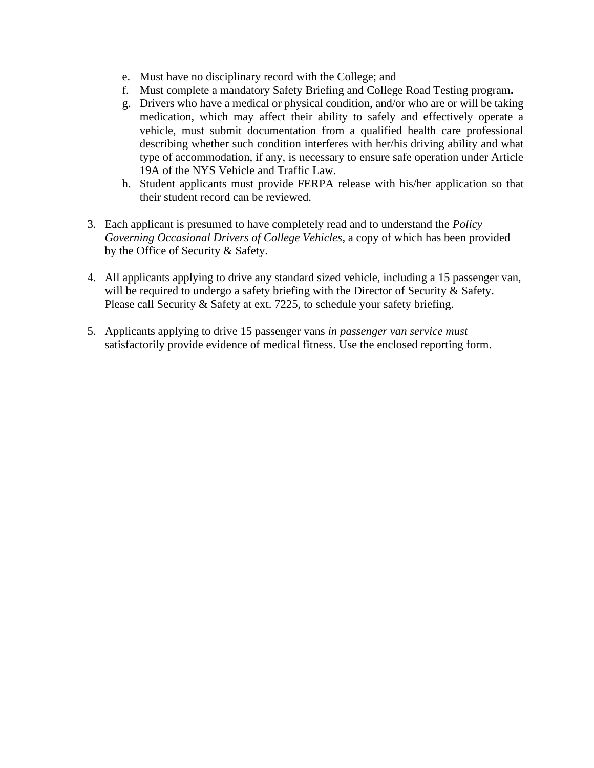- e. Must have no disciplinary record with the College; and
- f. Must complete a mandatory Safety Briefing and College Road Testing program**.**
- g. Drivers who have a medical or physical condition, and/or who are or will be taking medication, which may affect their ability to safely and effectively operate a vehicle, must submit documentation from a qualified health care professional describing whether such condition interferes with her/his driving ability and what type of accommodation, if any, is necessary to ensure safe operation under Article 19A of the NYS Vehicle and Traffic Law.
- h. Student applicants must provide FERPA release with his/her application so that their student record can be reviewed.
- 3. Each applicant is presumed to have completely read and to understand the *Policy Governing Occasional Drivers of College Vehicles*, a copy of which has been provided by the Office of Security & Safety.
- 4. All applicants applying to drive any standard sized vehicle, including a 15 passenger van, will be required to undergo a safety briefing with the Director of Security & Safety. Please call Security & Safety at ext. 7225, to schedule your safety briefing.
- 5. Applicants applying to drive 15 passenger vans *in passenger van service must*  satisfactorily provide evidence of medical fitness. Use the enclosed reporting form.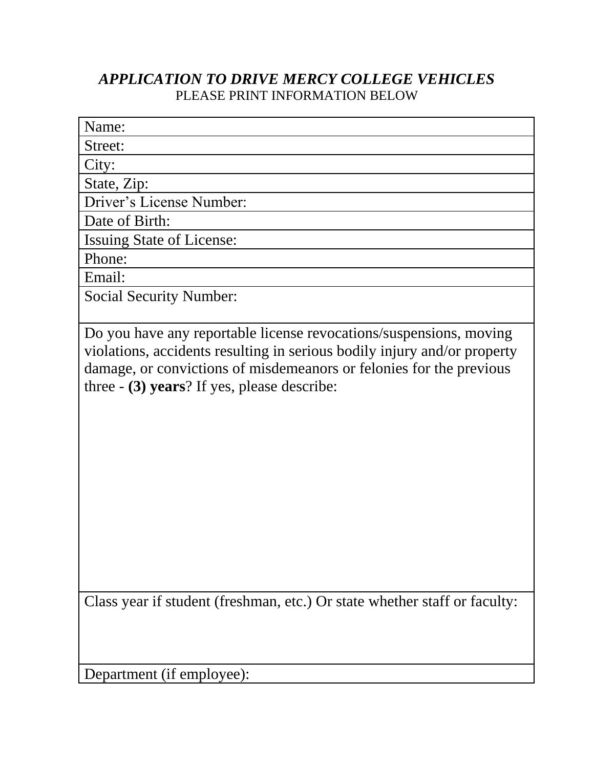## *APPLICATION TO DRIVE MERCY COLLEGE VEHICLES* PLEASE PRINT INFORMATION BELOW

| Name:                            |
|----------------------------------|
| Street:                          |
| City:                            |
| State, Zip:                      |
| Driver's License Number:         |
| Date of Birth:                   |
| <b>Issuing State of License:</b> |
| Phone:                           |
| Email:                           |
| <b>Social Security Number:</b>   |

Do you have any reportable license revocations/suspensions, moving violations, accidents resulting in serious bodily injury and/or property damage, or convictions of misdemeanors or felonies for the previous three - **(3) years**? If yes, please describe:

Class year if student (freshman, etc.) Or state whether staff or faculty:

Department (if employee):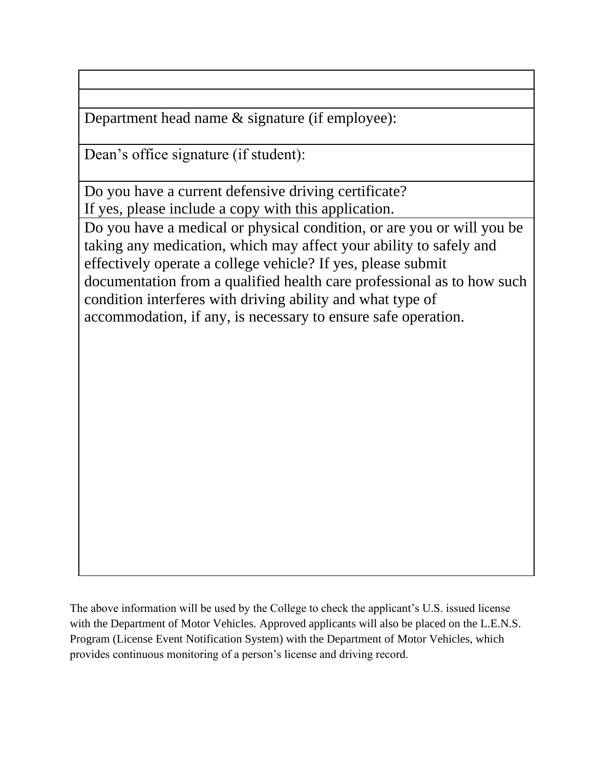Department head name & signature (if employee):

Dean's office signature (if student):

Do you have a current defensive driving certificate? If yes, please include a copy with this application.

Do you have a medical or physical condition, or are you or will you be taking any medication, which may affect your ability to safely and effectively operate a college vehicle? If yes, please submit documentation from a qualified health care professional as to how such condition interferes with driving ability and what type of accommodation, if any, is necessary to ensure safe operation.

The above information will be used by the College to check the applicant's U.S. issued license with the Department of Motor Vehicles. Approved applicants will also be placed on the L.E.N.S. Program (License Event Notification System) with the Department of Motor Vehicles, which provides continuous monitoring of a person's license and driving record.